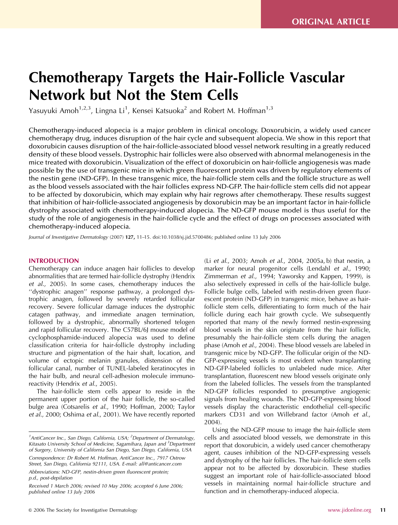# Chemotherapy Targets the Hair-Follicle Vascular Network but Not the Stem Cells

Yasuyuki Amoh<sup>1,2,3</sup>, Lingna Li<sup>1</sup>, Kensei Katsuoka<sup>2</sup> and Robert M. Hoffman<sup>1,3</sup>

Chemotherapy-induced alopecia is a major problem in clinical oncology. Doxorubicin, a widely used cancer chemotherapy drug, induces disruption of the hair cycle and subsequent alopecia. We show in this report that doxorubicin causes disruption of the hair-follicle-associated blood vessel network resulting in a greatly reduced density of these blood vessels. Dystrophic hair follicles were also observed with abnormal melanogenesis in the mice treated with doxorubicin. Visualization of the effect of doxorubicin on hair-follicle angiogenesis was made possible by the use of transgenic mice in which green fluorescent protein was driven by regulatory elements of the nestin gene (ND-GFP). In these transgenic mice, the hair-follicle stem cells and the follicle structure as well as the blood vessels associated with the hair follicles express ND-GFP. The hair-follicle stem cells did not appear to be affected by doxorubicin, which may explain why hair regrows after chemotherapy. These results suggest that inhibition of hair-follicle-associated angiogenesis by doxorubicin may be an important factor in hair-follicle dystrophy associated with chemotherapy-induced alopecia. The ND-GFP mouse model is thus useful for the study of the role of angiogenesis in the hair-follicle cycle and the effect of drugs on processes associated with chemotherapy-induced alopecia.

Journal of Investigative Dermatology (2007) 127, 11-15. doi:10.1038/sj.jid.5700486; published online 13 July 2006

## INTRODUCTION

Chemotherapy can induce anagen hair follicles to develop abnormalities that are termed hair-follicle dystrophy (Hendrix et al., 2005). In some cases, chemotherapy induces the ''dystrophic anagen'' response pathway, a prolonged dystrophic anagen, followed by severely retarded follicular recovery. Severe follicular damage induces the dystrophic catagen pathway, and immediate anagen termination, followed by a dystrophic, abnormally shortened telogen and rapid follicular recovery. The C57BL/6J mouse model of cyclophosphamide-induced alopecia was used to define classification criteria for hair-follicle dystrophy including structure and pigmentation of the hair shaft, location, and volume of ectopic melanin granules, distension of the follicular canal, number of TUNEL-labeled keratinocytes in the hair bulb, and neural cell-adhesion molecule immunoreactivity (Hendrix et al., 2005).

The hair-follicle stem cells appear to reside in the permanent upper portion of the hair follicle, the so-called bulge area (Cotsarelis et al., 1990; Hoffman, 2000; Taylor et al., 2000; Oshima et al., 2001). We have recently reported

Correspondence: Dr Robert M. Hoffman, AntiCancer Inc., 7917 Ostrow

Street, San Diego, California 92111, USA. E-mail: all@anticancer.com Abbreviations: ND-GFP, nestin-driven green fluorescent protein;

(Li et al., 2003; Amoh et al., 2004, 2005a, b) that nestin, a marker for neural progenitor cells (Lendahl et al., 1990; Zimmerman et al., 1994; Yaworsky and Kappen, 1999), is also selectively expressed in cells of the hair-follicle bulge. Follicle bulge cells, labeled with nestin-driven green fluorescent protein (ND-GFP) in transgenic mice, behave as hairfollicle stem cells, differentiating to form much of the hair follicle during each hair growth cycle. We subsequently reported that many of the newly formed nestin-expressing blood vessels in the skin originate from the hair follicle, presumably the hair-follicle stem cells during the anagen phase (Amoh et al., 2004). These blood vessels are labeled in transgenic mice by ND-GFP. The follicular origin of the ND-GFP-expressing vessels is most evident when transplanting ND-GFP-labeled follicles to unlabeled nude mice. After transplantation, fluorescent new blood vessels originate only from the labeled follicles. The vessels from the transplanted ND-GFP follicles responded to presumptive angiogenic signals from healing wounds. The ND-GFP-expressing blood vessels display the characteristic endothelial cell-specific markers CD31 and von Willebrand factor (Amoh et al., 2004).

Using the ND-GFP mouse to image the hair-follicle stem cells and associated blood vessels, we demonstrate in this report that doxorubicin, a widely used cancer chemotherapy agent, causes inhibition of the ND-GFP-expressing vessels and dystrophy of the hair follicles. The hair-follicle stem cells appear not to be affected by doxorubicin. These studies suggest an important role of hair-follicle-associated blood vessels in maintaining normal hair-follicle structure and function and in chemotherapy-induced alopecia.

<sup>&</sup>lt;sup>1</sup> AntiCancer Inc., San Diego, California, USA; <sup>2</sup> Department of Dermatology, Kitasato University School of Medicine, Sagamihara, Japan and <sup>3</sup>Department of Surgery, University of California San Diego, San Diego, California, USA

p.d., post-depilation

Received 1 March 2006; revised 10 May 2006; accepted 6 June 2006; published online 13 July 2006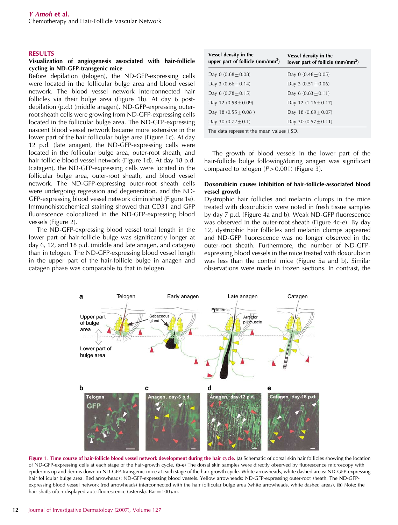# Y Amoh et al.

Chemotherapy and Hair-Follicle Vascular Network

## RESULTS

# Visualization of angiogenesis associated with hair-follicle cycling in ND-GFP-transgenic mice

Before depilation (telogen), the ND-GFP-expressing cells were located in the follicular bulge area and blood vessel network. The blood vessel network interconnected hair follicles via their bulge area (Figure 1b). At day 6 postdepilation (p.d.) (middle anagen), ND-GFP-expressing outerroot sheath cells were growing from ND-GFP-expressing cells located in the follicular bulge area. The ND-GFP-expressing nascent blood vessel network became more extensive in the lower part of the hair follicular bulge area (Figure 1c). At day 12 p.d. (late anagen), the ND-GFP-expressing cells were located in the follicular bulge area, outer-root sheath, and hair-follicle blood vessel network (Figure 1d). At day 18 p.d. (catagen), the ND-GFP-expressing cells were located in the follicular bulge area, outer-root sheath, and blood vessel network. The ND-GFP-expressing outer-root sheath cells were undergoing regression and degeneration, and the ND-GFP-expressing blood vessel network diminished (Figure 1e). Immunohistochemical staining showed that CD31 and GFP fluorescence colocalized in the ND-GFP-expressing blood vessels (Figure 2).

The ND-GFP-expressing blood vessel total length in the lower part of hair-follicle bulge was significantly longer at day 6, 12, and 18 p.d. (middle and late anagen, and catagen) than in telogen. The ND-GFP-expressing blood vessel length in the upper part of the hair-follicle bulge in anagen and catagen phase was comparable to that in telogen.

| Vessel density in the<br>upper part of follicle $(mm/mm2)$ | Vessel density in the<br>lower part of follicle $(mm/mm2)$ |
|------------------------------------------------------------|------------------------------------------------------------|
| Day 0 $(0.68 \pm 0.08)$                                    | Day 0 $(0.48 \pm 0.05)$                                    |
| Day 3 $(0.66 \pm 0.14)$                                    | Day 3 $(0.51 \pm 0.06)$                                    |
| Day 6 $(0.78 \pm 0.15)$                                    | Day 6 $(0.83 \pm 0.11)$                                    |
| Day 12 $(0.58 \pm 0.09)$                                   | Day 12 $(1.16 \pm 0.17)$                                   |
| Day 18 $(0.55 \pm 0.08)$                                   | Day 18 $(0.69 \pm 0.07)$                                   |
| Day 30 $(0.72 \pm 0.1)$                                    | Day 30 $(0.57 \pm 0.11)$                                   |
| The data represent the mean values $\pm$ SD.               |                                                            |

The growth of blood vessels in the lower part of the hair-follicle bulge following/during anagen was significant compared to telogen  $(P>0.001)$  (Figure 3).

# Doxorubicin causes inhibition of hair-follicle-associated blood vessel growth

Dystrophic hair follicles and melanin clumps in the mice treated with doxorubicin were noted in fresh tissue samples by day 7 p.d. (Figure 4a and b). Weak ND-GFP fluorescence was observed in the outer-root sheath (Figure 4c–e). By day 12, dystrophic hair follicles and melanin clumps appeared and ND-GFP fluorescence was no longer observed in the outer-root sheath. Furthermore, the number of ND-GFPexpressing blood vessels in the mice treated with doxorubicin was less than the control mice (Figure 5a and b). Similar observations were made in frozen sections. In contrast, the



Figure 1. Time course of hair-follicle blood vessel network development during the hair cycle. (a) Schematic of dorsal skin hair follicles showing the location of ND-GFP-expressing cells at each stage of the hair-growth cycle. (b–e) The dorsal skin samples were directly observed by fluorescence microscopy with epidermis up and dermis down in ND-GFP-transgenic mice at each stage of the hair-growth cycle. White arrowheads, white dashed areas: ND-GFP-expressing hair follicular bulge area. Red arrowheads: ND-GFP-expressing blood vessels. Yellow arrowheads: ND-GFP-expressing outer-root sheath. The ND-GFPexpressing blood vessel network (red arrowheads) interconnected with the hair follicular bulge area (white arrowheads, white dashed areas). (b) Note: the hair shafts often displayed auto-fluorescence (asterisk). Bar =  $100 \mu m$ .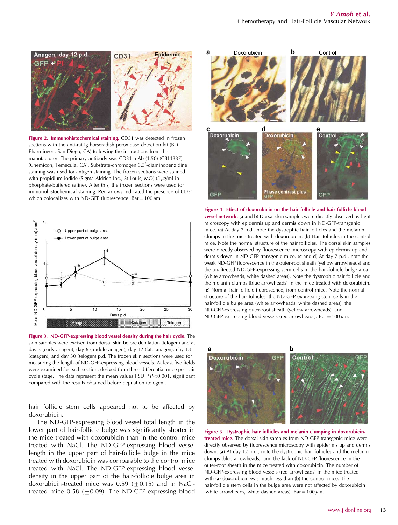

Figure 2. Immunohistochemical staining. CD31 was detected in frozen sections with the anti-rat Ig horseradish peroxidase detection kit (BD Pharmingen, San Diego, CA) following the instructions from the manufacturer. The primary antibody was CD31 mAb (1:50) (CBL1337) (Chemicon, Temecula, CA). Substrate-chromogen 3,3'-diaminobenzidine staining was used for antigen staining. The frozen sections were stained with propidium iodide (Sigma-Aldrich Inc., St Louis, MO) (5  $\mu$ g/ml in phosphate-buffered saline). After this, the frozen sections were used for immunohistochemical staining. Red arrows indicated the presence of CD31, which colocalizes with ND-GFP fluorescence. Bar =  $100 \mu m$ .



Figure 3. ND-GFP-expressing blood vessel density during the hair cycle. The skin samples were excised from dorsal skin before depilation (telogen) and at day 3 (early anagen), day 6 (middle anagen), day 12 (late anagen), day 18 (catagen), and day 30 (telogen) p.d. The frozen skin sections were used for measuring the length of ND-GFP-expressing blood vessels. At least five fields were examined for each section, derived from three differential mice per hair cycle stage. The data represent the mean values $\pm$ SD. \*P<0.001, significant compared with the results obtained before depilation (telogen).

hair follicle stem cells appeared not to be affected by doxorubicin.

The ND-GFP-expressing blood vessel total length in the lower part of hair-follicle bulge was significantly shorter in the mice treated with doxorubicin than in the control mice treated with NaCl. The ND-GFP-expressing blood vessel length in the upper part of hair-follicle bulge in the mice treated with doxorubicin was comparable to the control mice treated with NaCl. The ND-GFP-expressing blood vessel density in the upper part of the hair-follicle bulge area in doxorubicin-treated mice was 0.59 ( $\pm$ 0.15) and in NaCltreated mice 0.58 ( $\pm$ 0.09). The ND-GFP-expressing blood



Figure 4. Effect of doxorubicin on the hair follicle and hair-follicle blood vessel network. (a and b) Dorsal skin samples were directly observed by light microscopy with epidermis up and dermis down in ND-GFP-transgenic mice. (a) At day 7 p.d., note the dystrophic hair follicles and the melanin clumps in the mice treated with doxorubicin. (b) Hair follicles in the control mice. Note the normal structure of the hair follicles. The dorsal skin samples were directly observed by fluorescence microscopy with epidermis up and dermis down in ND-GFP-transgenic mice. (c and d) At day 7 p.d., note the weak ND-GFP fluorescence in the outer-root sheath (yellow arrowheads) and the unaffected ND-GFP-expressing stem cells in the hair-follicle bulge area (white arrowheads, white dashed areas). Note the dystrophic hair follicle and the melanin clumps (blue arrowheads) in the mice treated with doxorubicin. (e) Normal hair follicle fluorescence, from control mice. Note the normal structure of the hair follicles, the ND-GFP-expressing stem cells in the hair-follicle bulge area (white arrowheads, white dashed areas), the ND-GFP-expressing outer-root sheath (yellow arrowheads), and ND-GFP-expressing blood vessels (red arrowheads). Bar =  $100 \mu m$ .



Figure 5. Dystrophic hair follicles and melanin clumping in doxorubicintreated mice. The dorsal skin samples from ND-GFP transgenic mice were directly observed by fluorescence microscopy with epidermis up and dermis down. (a) At day 12 p.d., note the dystrophic hair follicles and the melanin clumps (blue arrowheads), and the lack of ND-GFP fluorescence in the outer-root sheath in the mice treated with doxorubicin. The number of ND-GFP-expressing blood vessels (red arrowheads) in the mice treated with (a) doxorubicin was much less than (b) the control mice. The hair-follicle stem cells in the bulge area were not affected by doxorubicin (white arrowheads, white dashed areas). Bar =  $100 \mu m$ .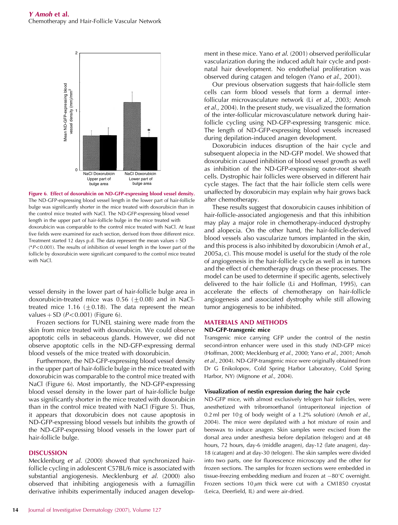![](_page_3_Figure_1.jpeg)

Figure 6. Effect of doxorubicin on ND-GFP-expressing blood vessel density. The ND-GFP-expressing blood vessel length in the lower part of hair-follicle bulge was significantly shorter in the mice treated with doxorubicin than in the control mice treated with NaCl. The ND-GFP-expressing blood vessel length in the upper part of hair-follicle bulge in the mice treated with doxorubicin was comparable to the control mice treated with NaCl. At least five fields were examined for each section, derived from three different mice. Treatment started 12 days p.d. The data represent the mean values  $+$  SD  $(*P<0.001)$ . The results of inhibition of vessel length in the lower part of the follicle by doxorubicin were significant compared to the control mice treated with NaCl.

vessel density in the lower part of hair-follicle bulge area in doxorubicin-treated mice was 0.56 ( $\pm$ 0.08) and in NaCltreated mice 1.16 ( $\pm$ 0.18). The data represent the mean values + SD ( $P$ <0.001) (Figure 6).

Frozen sections for TUNEL staining were made from the skin from mice treated with doxorubicin. We could observe apoptotic cells in sebaceous glands. However, we did not observe apoptotic cells in the ND-GFP-expressing dermal blood vessels of the mice treated with doxorubicin.

Furthermore, the ND-GFP-expressing blood vessel density in the upper part of hair-follicle bulge in the mice treated with doxorubicin was comparable to the control mice treated with NaCl (Figure 6). Most importantly, the ND-GFP-expressing blood vessel density in the lower part of hair-follicle bulge was significantly shorter in the mice treated with doxorubicin than in the control mice treated with NaCl (Figure 5). Thus, it appears that doxorubicin does not cause apoptosis in ND-GFP-expressing blood vessels but inhibits the growth of the ND-GFP-expressing blood vessels in the lower part of hair-follicle bulge.

# DISCUSSION

Mecklenburg et al. (2000) showed that synchronized hairfollicle cycling in adolescent C57BL/6 mice is associated with substantial angiogenesis. Mecklenburg et al. (2000) also observed that inhibiting angiogenesis with a fumagillin derivative inhibits experimentally induced anagen development in these mice. Yano et al. (2001) observed perifollicular vascularization during the induced adult hair cycle and postnatal hair development. No endothelial proliferation was observed during catagen and telogen (Yano et al., 2001).

Our previous observation suggests that hair-follicle stem cells can form blood vessels that form a dermal interfollicular microvasculature network (Li et al., 2003; Amoh et al., 2004). In the present study, we visualized the formation of the inter-follicular microvasculature network during hairfollicle cycling using ND-GFP-expressing transgenic mice. The length of ND-GFP-expressing blood vessels increased during depilation-induced anagen development.

Doxorubicin induces disruption of the hair cycle and subsequent alopecia in the ND-GFP model. We showed that doxorubicin caused inhibition of blood vessel growth as well as inhibition of the ND-GFP-expressing outer-root sheath cells. Dystrophic hair follicles were observed in different hair cycle stages. The fact that the hair follicle stem cells were unaffected by doxorubicin may explain why hair grows back after chemotherapy.

These results suggest that doxorubicin causes inhibition of hair-follicle-associated angiogenesis and that this inhibition may play a major role in chemotherapy-induced dystrophy and alopecia. On the other hand, the hair-follicle-derived blood vessels also vascularize tumors implanted in the skin, and this process is also inhibited by doxorubicin (Amoh et al., 2005a, c). This mouse model is useful for the study of the role of angiogenesis in the hair-follicle cycle as well as in tumors and the effect of chemotherapy drugs on these processes. The model can be used to determine if specific agents, selectively delivered to the hair follicle (Li and Hoffman, 1995), can accelerate the effects of chemotherapy on hair-follicle angiogenesis and associated dystrophy while still allowing tumor angiogenesis to be inhibited.

# MATERIALS AND METHODS

#### ND-GFP-transgenic mice

Transgenic mice carrying GFP under the control of the nestin second-intron enhancer were used in this study (ND-GFP mice) (Hoffman, 2000; Mecklenburg et al., 2000; Yano et al., 2001; Amoh et al., 2004). ND-GFP-transgenic mice were originally obtained from Dr G Enikolopov, Cold Spring Harbor Laboratory, Cold Spring Harbor, NY) (Mignone et al., 2004).

#### Visualization of nestin expression during the hair cycle

ND-GFP mice, with almost exclusively telogen hair follicles, were anesthetized with tribromoethanol (intraperitoneal injection of 0.2 ml per 10 g of body weight of a 1.2% solution) (Amoh et al., 2004). The mice were depilated with a hot mixture of rosin and beeswax to induce anagen. Skin samples were excised from the dorsal area under anesthesia before depilation (telogen) and at 48 hours, 72 hours, day-6 (middle anagen), day-12 (late anagen), day-18 (catagen) and at day-30 (telogen). The skin samples were divided into two parts, one for fluorescence microscopy and the other for frozen sections. The samples for frozen sections were embedded in tissue-freezing embedding medium and frozen at  $-80^{\circ}$ C overnight. Frozen sections 10  $\mu$ m thick were cut with a CM1850 cryostat (Leica, Deerfield, IL) and were air-dried.